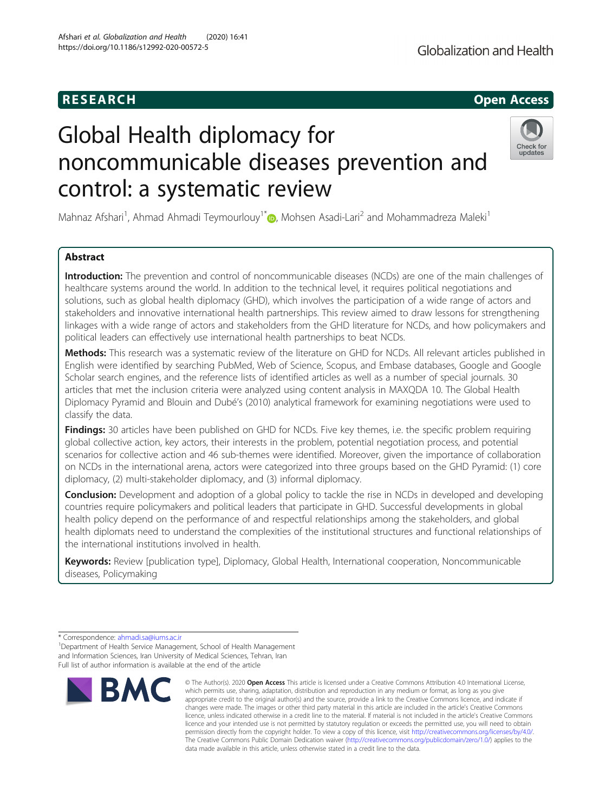## **RESEARCH CHE Open Access**

# Global Health diplomacy for noncommunicable diseases prevention and control: a systematic review



Mahnaz Afshari<sup>1</sup>[,](http://orcid.org/0000-0003-1067-6146) Ahmad Ahmadi Teymourlouy<sup>1\*</sup>. Mohsen Asadi-Lari<sup>2</sup> and Mohammadreza Maleki<sup>1</sup>

## Abstract

Introduction: The prevention and control of noncommunicable diseases (NCDs) are one of the main challenges of healthcare systems around the world. In addition to the technical level, it requires political negotiations and solutions, such as global health diplomacy (GHD), which involves the participation of a wide range of actors and stakeholders and innovative international health partnerships. This review aimed to draw lessons for strengthening linkages with a wide range of actors and stakeholders from the GHD literature for NCDs, and how policymakers and political leaders can effectively use international health partnerships to beat NCDs.

Methods: This research was a systematic review of the literature on GHD for NCDs. All relevant articles published in English were identified by searching PubMed, Web of Science, Scopus, and Embase databases, Google and Google Scholar search engines, and the reference lists of identified articles as well as a number of special journals. 30 articles that met the inclusion criteria were analyzed using content analysis in MAXQDA 10. The Global Health Diplomacy Pyramid and Blouin and Dubé's (2010) analytical framework for examining negotiations were used to classify the data.

Findings: 30 articles have been published on GHD for NCDs. Five key themes, i.e. the specific problem requiring global collective action, key actors, their interests in the problem, potential negotiation process, and potential scenarios for collective action and 46 sub-themes were identified. Moreover, given the importance of collaboration on NCDs in the international arena, actors were categorized into three groups based on the GHD Pyramid: (1) core diplomacy, (2) multi-stakeholder diplomacy, and (3) informal diplomacy.

**Conclusion:** Development and adoption of a global policy to tackle the rise in NCDs in developed and developing countries require policymakers and political leaders that participate in GHD. Successful developments in global health policy depend on the performance of and respectful relationships among the stakeholders, and global health diplomats need to understand the complexities of the institutional structures and functional relationships of the international institutions involved in health.

Keywords: Review [publication type], Diplomacy, Global Health, International cooperation, Noncommunicable diseases, Policymaking

\* Correspondence: [ahmadi.sa@iums.ac.ir](mailto:ahmadi.sa@iums.ac.ir) <sup>1</sup>

<sup>1</sup> Department of Health Service Management, School of Health Management and Information Sciences, Iran University of Medical Sciences, Tehran, Iran Full list of author information is available at the end of the article



<sup>©</sup> The Author(s), 2020 **Open Access** This article is licensed under a Creative Commons Attribution 4.0 International License, which permits use, sharing, adaptation, distribution and reproduction in any medium or format, as long as you give appropriate credit to the original author(s) and the source, provide a link to the Creative Commons licence, and indicate if changes were made. The images or other third party material in this article are included in the article's Creative Commons licence, unless indicated otherwise in a credit line to the material. If material is not included in the article's Creative Commons licence and your intended use is not permitted by statutory regulation or exceeds the permitted use, you will need to obtain permission directly from the copyright holder. To view a copy of this licence, visit [http://creativecommons.org/licenses/by/4.0/.](http://creativecommons.org/licenses/by/4.0/) The Creative Commons Public Domain Dedication waiver [\(http://creativecommons.org/publicdomain/zero/1.0/](http://creativecommons.org/publicdomain/zero/1.0/)) applies to the data made available in this article, unless otherwise stated in a credit line to the data.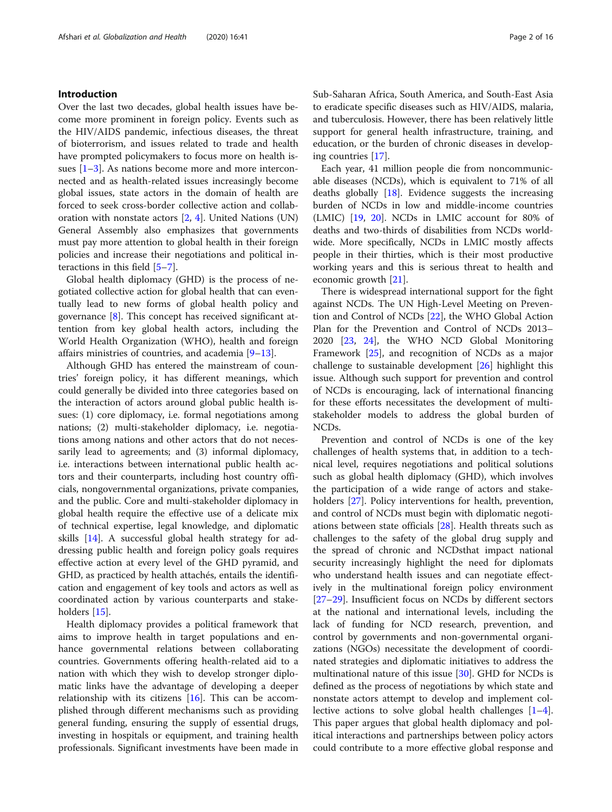### Introduction

Over the last two decades, global health issues have become more prominent in foreign policy. Events such as the HIV/AIDS pandemic, infectious diseases, the threat of bioterrorism, and issues related to trade and health have prompted policymakers to focus more on health issues  $[1-3]$  $[1-3]$  $[1-3]$ . As nations become more and more interconnected and as health-related issues increasingly become global issues, state actors in the domain of health are forced to seek cross-border collective action and collaboration with nonstate actors [[2](#page-14-0), [4\]](#page-14-0). United Nations (UN) General Assembly also emphasizes that governments must pay more attention to global health in their foreign policies and increase their negotiations and political interactions in this field [\[5](#page-14-0)–[7\]](#page-14-0).

Global health diplomacy (GHD) is the process of negotiated collective action for global health that can eventually lead to new forms of global health policy and governance  $[8]$  $[8]$ . This concept has received significant attention from key global health actors, including the World Health Organization (WHO), health and foreign affairs ministries of countries, and academia [\[9](#page-14-0)–[13\]](#page-14-0).

Although GHD has entered the mainstream of countries' foreign policy, it has different meanings, which could generally be divided into three categories based on the interaction of actors around global public health issues: (1) core diplomacy, i.e. formal negotiations among nations; (2) multi-stakeholder diplomacy, i.e. negotiations among nations and other actors that do not necessarily lead to agreements; and (3) informal diplomacy, i.e. interactions between international public health actors and their counterparts, including host country officials, nongovernmental organizations, private companies, and the public. Core and multi-stakeholder diplomacy in global health require the effective use of a delicate mix of technical expertise, legal knowledge, and diplomatic skills [\[14](#page-14-0)]. A successful global health strategy for addressing public health and foreign policy goals requires effective action at every level of the GHD pyramid, and GHD, as practiced by health attachés, entails the identification and engagement of key tools and actors as well as coordinated action by various counterparts and stakeholders [[15\]](#page-14-0).

Health diplomacy provides a political framework that aims to improve health in target populations and enhance governmental relations between collaborating countries. Governments offering health-related aid to a nation with which they wish to develop stronger diplomatic links have the advantage of developing a deeper relationship with its citizens [[16\]](#page-14-0). This can be accomplished through different mechanisms such as providing general funding, ensuring the supply of essential drugs, investing in hospitals or equipment, and training health professionals. Significant investments have been made in Sub-Saharan Africa, South America, and South-East Asia to eradicate specific diseases such as HIV/AIDS, malaria, and tuberculosis. However, there has been relatively little support for general health infrastructure, training, and education, or the burden of chronic diseases in developing countries [\[17](#page-14-0)].

Each year, 41 million people die from noncommunicable diseases (NCDs), which is equivalent to 71% of all deaths globally [[18\]](#page-14-0). Evidence suggests the increasing burden of NCDs in low and middle-income countries (LMIC) [[19,](#page-14-0) [20\]](#page-14-0). NCDs in LMIC account for 80% of deaths and two-thirds of disabilities from NCDs worldwide. More specifically, NCDs in LMIC mostly affects people in their thirties, which is their most productive working years and this is serious threat to health and economic growth [\[21](#page-14-0)].

There is widespread international support for the fight against NCDs. The UN High-Level Meeting on Prevention and Control of NCDs [[22\]](#page-14-0), the WHO Global Action Plan for the Prevention and Control of NCDs 2013– 2020 [[23,](#page-14-0) [24\]](#page-14-0), the WHO NCD Global Monitoring Framework [[25\]](#page-14-0), and recognition of NCDs as a major challenge to sustainable development [[26\]](#page-14-0) highlight this issue. Although such support for prevention and control of NCDs is encouraging, lack of international financing for these efforts necessitates the development of multistakeholder models to address the global burden of NCDs.

Prevention and control of NCDs is one of the key challenges of health systems that, in addition to a technical level, requires negotiations and political solutions such as global health diplomacy (GHD), which involves the participation of a wide range of actors and stakeholders [[27](#page-14-0)]. Policy interventions for health, prevention, and control of NCDs must begin with diplomatic negotiations between state officials [[28](#page-14-0)]. Health threats such as challenges to the safety of the global drug supply and the spread of chronic and NCDsthat impact national security increasingly highlight the need for diplomats who understand health issues and can negotiate effectively in the multinational foreign policy environment [[27](#page-14-0)–[29](#page-14-0)]. Insufficient focus on NCDs by different sectors at the national and international levels, including the lack of funding for NCD research, prevention, and control by governments and non-governmental organizations (NGOs) necessitate the development of coordinated strategies and diplomatic initiatives to address the multinational nature of this issue [[30](#page-14-0)]. GHD for NCDs is defined as the process of negotiations by which state and nonstate actors attempt to develop and implement collective actions to solve global health challenges [\[1](#page-14-0)–[4](#page-14-0)]. This paper argues that global health diplomacy and political interactions and partnerships between policy actors could contribute to a more effective global response and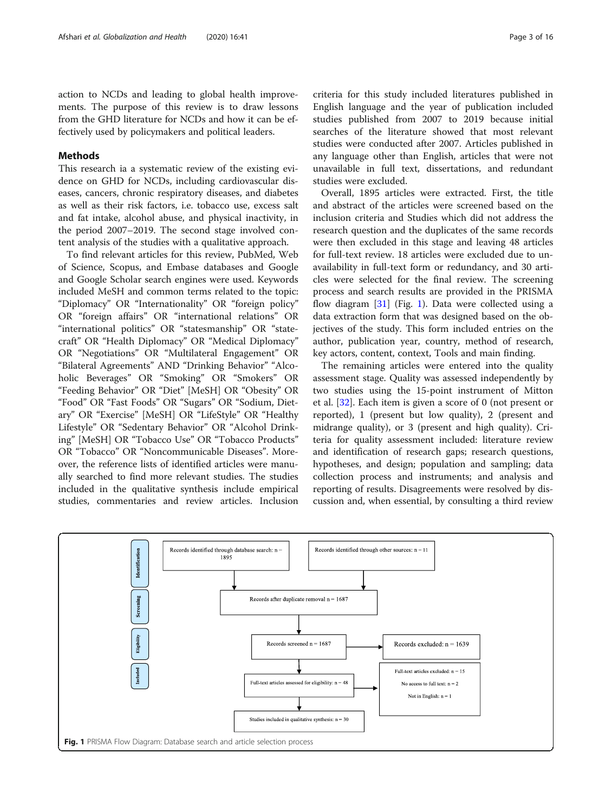action to NCDs and leading to global health improvements. The purpose of this review is to draw lessons from the GHD literature for NCDs and how it can be effectively used by policymakers and political leaders.

#### Methods

This research ia a systematic review of the existing evidence on GHD for NCDs, including cardiovascular diseases, cancers, chronic respiratory diseases, and diabetes as well as their risk factors, i.e. tobacco use, excess salt and fat intake, alcohol abuse, and physical inactivity, in the period 2007–2019. The second stage involved content analysis of the studies with a qualitative approach.

To find relevant articles for this review, PubMed, Web of Science, Scopus, and Embase databases and Google and Google Scholar search engines were used. Keywords included MeSH and common terms related to the topic: "Diplomacy" OR "Internationality" OR "foreign policy" OR "foreign affairs" OR "international relations" OR "international politics" OR "statesmanship" OR "statecraft" OR "Health Diplomacy" OR "Medical Diplomacy" OR "Negotiations" OR "Multilateral Engagement" OR "Bilateral Agreements" AND "Drinking Behavior" "Alcoholic Beverages" OR "Smoking" OR "Smokers" OR "Feeding Behavior" OR "Diet" [MeSH] OR "Obesity" OR "Food" OR "Fast Foods" OR "Sugars" OR "Sodium, Dietary" OR "Exercise" [MeSH] OR "LifeStyle" OR "Healthy Lifestyle" OR "Sedentary Behavior" OR "Alcohol Drinking" [MeSH] OR "Tobacco Use" OR "Tobacco Products" OR "Tobacco" OR "Noncommunicable Diseases". Moreover, the reference lists of identified articles were manually searched to find more relevant studies. The studies included in the qualitative synthesis include empirical studies, commentaries and review articles. Inclusion

criteria for this study included literatures published in English language and the year of publication included studies published from 2007 to 2019 because initial searches of the literature showed that most relevant studies were conducted after 2007. Articles published in any language other than English, articles that were not unavailable in full text, dissertations, and redundant studies were excluded.

Overall, 1895 articles were extracted. First, the title and abstract of the articles were screened based on the inclusion criteria and Studies which did not address the research question and the duplicates of the same records were then excluded in this stage and leaving 48 articles for full-text review. 18 articles were excluded due to unavailability in full-text form or redundancy, and 30 articles were selected for the final review. The screening process and search results are provided in the PRISMA flow diagram [[31\]](#page-14-0) (Fig. 1). Data were collected using a data extraction form that was designed based on the objectives of the study. This form included entries on the author, publication year, country, method of research, key actors, content, context, Tools and main finding.

The remaining articles were entered into the quality assessment stage. Quality was assessed independently by two studies using the 15-point instrument of Mitton et al. [[32](#page-14-0)]. Each item is given a score of 0 (not present or reported), 1 (present but low quality), 2 (present and midrange quality), or 3 (present and high quality). Criteria for quality assessment included: literature review and identification of research gaps; research questions, hypotheses, and design; population and sampling; data collection process and instruments; and analysis and reporting of results. Disagreements were resolved by discussion and, when essential, by consulting a third review



Afshari et al. Globalization and Health (2020) 16:41 Page 3 of 16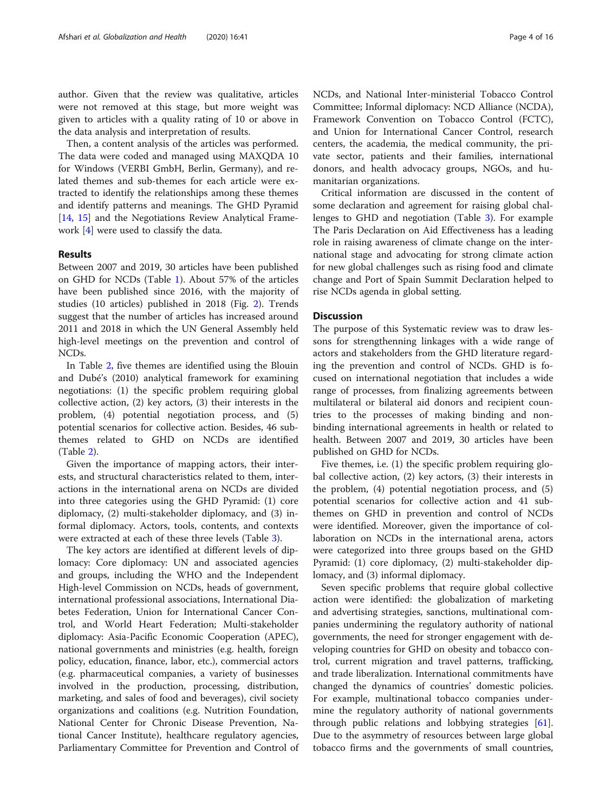author. Given that the review was qualitative, articles were not removed at this stage, but more weight was given to articles with a quality rating of 10 or above in the data analysis and interpretation of results.

Then, a content analysis of the articles was performed. The data were coded and managed using MAXQDA 10 for Windows (VERBI GmbH, Berlin, Germany), and related themes and sub-themes for each article were extracted to identify the relationships among these themes and identify patterns and meanings. The GHD Pyramid [[14,](#page-14-0) [15](#page-14-0)] and the Negotiations Review Analytical Framework [\[4](#page-14-0)] were used to classify the data.

#### Results

Between 2007 and 2019, 30 articles have been published on GHD for NCDs (Table [1](#page-4-0)). About 57% of the articles have been published since 2016, with the majority of studies (10 articles) published in 2018 (Fig. [2\)](#page-9-0). Trends suggest that the number of articles has increased around 2011 and 2018 in which the UN General Assembly held high-level meetings on the prevention and control of NCDs.

In Table [2](#page-10-0), five themes are identified using the Blouin and Dubé's (2010) analytical framework for examining negotiations: (1) the specific problem requiring global collective action, (2) key actors, (3) their interests in the problem, (4) potential negotiation process, and (5) potential scenarios for collective action. Besides, 46 subthemes related to GHD on NCDs are identified (Table [2\)](#page-10-0).

Given the importance of mapping actors, their interests, and structural characteristics related to them, interactions in the international arena on NCDs are divided into three categories using the GHD Pyramid: (1) core diplomacy, (2) multi-stakeholder diplomacy, and (3) informal diplomacy. Actors, tools, contents, and contexts were extracted at each of these three levels (Table [3](#page-11-0)).

The key actors are identified at different levels of diplomacy: Core diplomacy: UN and associated agencies and groups, including the WHO and the Independent High-level Commission on NCDs, heads of government, international professional associations, International Diabetes Federation, Union for International Cancer Control, and World Heart Federation; Multi-stakeholder diplomacy: Asia-Pacific Economic Cooperation (APEC), national governments and ministries (e.g. health, foreign policy, education, finance, labor, etc.), commercial actors (e.g. pharmaceutical companies, a variety of businesses involved in the production, processing, distribution, marketing, and sales of food and beverages), civil society organizations and coalitions (e.g. Nutrition Foundation, National Center for Chronic Disease Prevention, National Cancer Institute), healthcare regulatory agencies, Parliamentary Committee for Prevention and Control of NCDs, and National Inter-ministerial Tobacco Control Committee; Informal diplomacy: NCD Alliance (NCDA), Framework Convention on Tobacco Control (FCTC), and Union for International Cancer Control, research centers, the academia, the medical community, the private sector, patients and their families, international donors, and health advocacy groups, NGOs, and humanitarian organizations.

Critical information are discussed in the content of some declaration and agreement for raising global challenges to GHD and negotiation (Table [3](#page-11-0)). For example The Paris Declaration on Aid Effectiveness has a leading role in raising awareness of climate change on the international stage and advocating for strong climate action for new global challenges such as rising food and climate change and Port of Spain Summit Declaration helped to rise NCDs agenda in global setting.

#### **Discussion**

The purpose of this Systematic review was to draw lessons for strengthenning linkages with a wide range of actors and stakeholders from the GHD literature regarding the prevention and control of NCDs. GHD is focused on international negotiation that includes a wide range of processes, from finalizing agreements between multilateral or bilateral aid donors and recipient countries to the processes of making binding and nonbinding international agreements in health or related to health. Between 2007 and 2019, 30 articles have been published on GHD for NCDs.

Five themes, i.e. (1) the specific problem requiring global collective action, (2) key actors, (3) their interests in the problem, (4) potential negotiation process, and (5) potential scenarios for collective action and 41 subthemes on GHD in prevention and control of NCDs were identified. Moreover, given the importance of collaboration on NCDs in the international arena, actors were categorized into three groups based on the GHD Pyramid: (1) core diplomacy, (2) multi-stakeholder diplomacy, and (3) informal diplomacy.

Seven specific problems that require global collective action were identified: the globalization of marketing and advertising strategies, sanctions, multinational companies undermining the regulatory authority of national governments, the need for stronger engagement with developing countries for GHD on obesity and tobacco control, current migration and travel patterns, trafficking, and trade liberalization. International commitments have changed the dynamics of countries' domestic policies. For example, multinational tobacco companies undermine the regulatory authority of national governments through public relations and lobbying strategies [\[61](#page-15-0)]. Due to the asymmetry of resources between large global tobacco firms and the governments of small countries,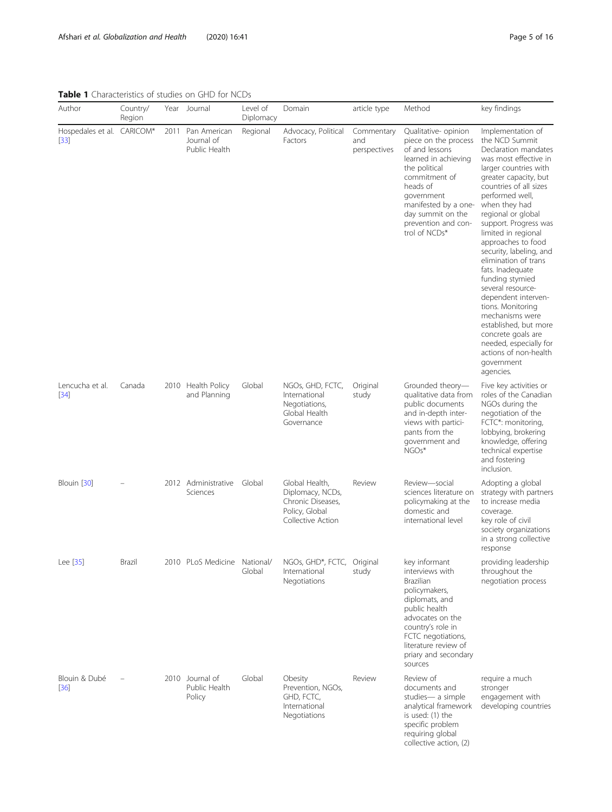<span id="page-4-0"></span>

| Author                               | Country/<br>Region | Year | Journal                                     | Level of<br>Diplomacy | Domain                                                                                         | article type                      | Method                                                                                                                                                                                                                                  | key findings                                                                                                                                                                                                                                                                                                                                                                                                                                                                                                                                                                                                |
|--------------------------------------|--------------------|------|---------------------------------------------|-----------------------|------------------------------------------------------------------------------------------------|-----------------------------------|-----------------------------------------------------------------------------------------------------------------------------------------------------------------------------------------------------------------------------------------|-------------------------------------------------------------------------------------------------------------------------------------------------------------------------------------------------------------------------------------------------------------------------------------------------------------------------------------------------------------------------------------------------------------------------------------------------------------------------------------------------------------------------------------------------------------------------------------------------------------|
| Hospedales et al. CARICOM*<br>$[33]$ |                    | 2011 | Pan American<br>Journal of<br>Public Health | Regional              | Advocacy, Political<br>Factors                                                                 | Commentary<br>and<br>perspectives | Qualitative- opinion<br>piece on the process<br>of and lessons<br>learned in achieving<br>the political<br>commitment of<br>heads of<br>government<br>manifested by a one-<br>day summit on the<br>prevention and con-<br>trol of NCDs* | Implementation of<br>the NCD Summit<br>Declaration mandates<br>was most effective in<br>larger countries with<br>greater capacity, but<br>countries of all sizes<br>performed well,<br>when they had<br>regional or global<br>support. Progress was<br>limited in regional<br>approaches to food<br>security, labeling, and<br>elimination of trans<br>fats. Inadequate<br>funding stymied<br>several resource-<br>dependent interven-<br>tions. Monitoring<br>mechanisms were<br>established, but more<br>concrete goals are<br>needed, especially for<br>actions of non-health<br>government<br>agencies. |
| Lencucha et al.<br>$[34]$            | Canada             |      | 2010 Health Policy<br>and Planning          | Global                | NGOs, GHD, FCTC,<br>International<br>Negotiations,<br>Global Health<br>Governance              | Original<br>study                 | Grounded theory-<br>qualitative data from<br>public documents<br>and in-depth inter-<br>views with partici-<br>pants from the<br>government and<br>NGOs*                                                                                | Five key activities or<br>roles of the Canadian<br>NGOs during the<br>negotiation of the<br>FCTC*: monitoring,<br>lobbying, brokering<br>knowledge, offering<br>technical expertise<br>and fostering<br>inclusion.                                                                                                                                                                                                                                                                                                                                                                                          |
| Blouin [30]                          |                    |      | 2012 Administrative<br>Sciences             | Global                | Global Health,<br>Diplomacy, NCDs,<br>Chronic Diseases,<br>Policy, Global<br>Collective Action | Review                            | Review-social<br>sciences literature on<br>policymaking at the<br>domestic and<br>international level                                                                                                                                   | Adopting a global<br>strategy with partners<br>to increase media<br>coverage.<br>key role of civil<br>society organizations<br>in a strong collective<br>response                                                                                                                                                                                                                                                                                                                                                                                                                                           |
| Lee [35]                             | Brazil             |      | 2010 PLoS Medicine National/                | Global                | NGOs, GHD*, FCTC, Original<br>International<br>Negotiations                                    | study                             | key informant<br>interviews with<br><b>Brazilian</b><br>policymakers,<br>diplomats, and<br>public health<br>advocates on the<br>country's role in<br>FCTC negotiations,<br>literature review of<br>priary and secondary<br>sources      | providing leadership<br>throughout the<br>negotiation process                                                                                                                                                                                                                                                                                                                                                                                                                                                                                                                                               |
| Blouin & Dubé<br>$[36]$              |                    |      | 2010 Journal of<br>Public Health<br>Policy  | Global                | Obesity<br>Prevention, NGOs,<br>GHD, FCTC,<br>International<br>Negotiations                    | Review                            | Review of<br>documents and<br>studies- a simple<br>analytical framework<br>is used: (1) the<br>specific problem<br>requiring global<br>collective action, (2)                                                                           | require a much<br>stronger<br>engagement with<br>developing countries                                                                                                                                                                                                                                                                                                                                                                                                                                                                                                                                       |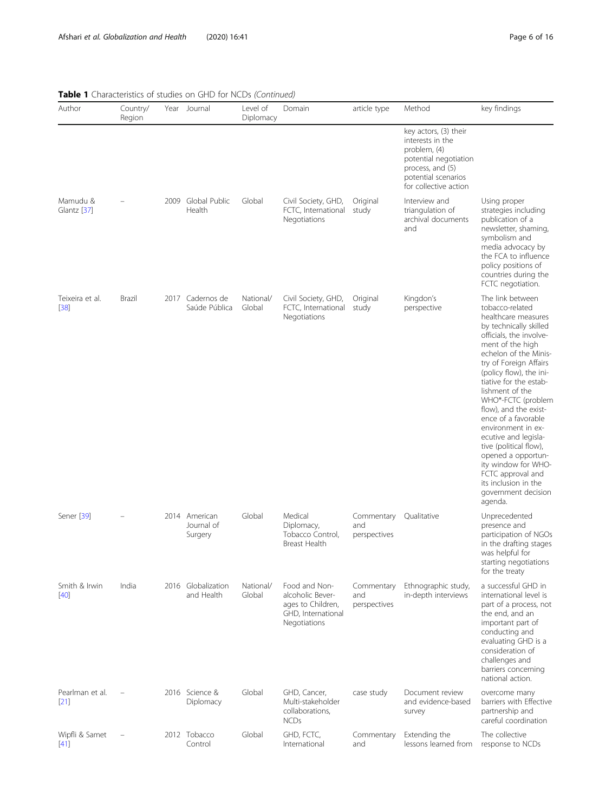| Author                                | <b>Collecteristics</b> of studies<br>Country/ |      | 011 011 101 1 102 103 100 1111 100 1<br>Year Journal | Level of            | Domain                                                                                       | article type                      | Method                                                                                                                                                 | key findings                                                                                                                                                                                                                                                                                                                                                                                                                                                                                                                             |
|---------------------------------------|-----------------------------------------------|------|------------------------------------------------------|---------------------|----------------------------------------------------------------------------------------------|-----------------------------------|--------------------------------------------------------------------------------------------------------------------------------------------------------|------------------------------------------------------------------------------------------------------------------------------------------------------------------------------------------------------------------------------------------------------------------------------------------------------------------------------------------------------------------------------------------------------------------------------------------------------------------------------------------------------------------------------------------|
|                                       | Region                                        |      |                                                      | Diplomacy           |                                                                                              |                                   |                                                                                                                                                        |                                                                                                                                                                                                                                                                                                                                                                                                                                                                                                                                          |
|                                       |                                               |      |                                                      |                     |                                                                                              |                                   | key actors, (3) their<br>interests in the<br>problem, (4)<br>potential negotiation<br>process, and (5)<br>potential scenarios<br>for collective action |                                                                                                                                                                                                                                                                                                                                                                                                                                                                                                                                          |
| Mamudu &<br>Glantz [37]               |                                               | 2009 | Global Public<br>Health                              | Global              | Civil Society, GHD,<br>FCTC, International<br>Negotiations                                   | Original<br>study                 | Interview and<br>triangulation of<br>archival documents<br>and                                                                                         | Using proper<br>strategies including<br>publication of a<br>newsletter, shaming,<br>symbolism and<br>media advocacy by<br>the FCA to influence<br>policy positions of<br>countries during the<br>FCTC negotiation.                                                                                                                                                                                                                                                                                                                       |
| Teixeira et al.<br>[38]               | Brazil                                        | 2017 | Cadernos de<br>Saúde Pública                         | National/<br>Global | Civil Society, GHD,<br>FCTC, International<br>Negotiations                                   | Original<br>study                 | Kingdon's<br>perspective                                                                                                                               | The link between<br>tobacco-related<br>healthcare measures<br>by technically skilled<br>officials, the involve-<br>ment of the high<br>echelon of the Minis-<br>try of Foreign Affairs<br>(policy flow), the ini-<br>tiative for the estab-<br>lishment of the<br>WHO*-FCTC (problem<br>flow), and the exist-<br>ence of a favorable<br>environment in ex-<br>ecutive and legisla-<br>tive (political flow),<br>opened a opportun-<br>ity window for WHO-<br>FCTC approval and<br>its inclusion in the<br>government decision<br>agenda. |
| Sener [39]                            |                                               |      | 2014 American<br>Journal of<br>Surgery               | Global              | Medical<br>Diplomacy,<br>Tobacco Control,<br>Breast Health                                   | Commentary<br>and<br>perspectives | Qualitative                                                                                                                                            | Unprecedented<br>presence and<br>participation of NGOs<br>in the drafting stages<br>was helpful for<br>starting negotiations<br>for the treaty                                                                                                                                                                                                                                                                                                                                                                                           |
| Smith & Irwin<br>$[40]$               | India                                         |      | 2016 Globalization<br>and Health                     | National/<br>Global | Food and Non-<br>alcoholic Bever-<br>ages to Children,<br>GHD, International<br>Negotiations | Commentary<br>and<br>perspectives | Ethnographic study,<br>in-depth interviews                                                                                                             | a successful GHD in<br>international level is<br>part of a process, not<br>the end, and an<br>important part of<br>conducting and<br>evaluating GHD is a<br>consideration of<br>challenges and<br>barriers concerning<br>national action.                                                                                                                                                                                                                                                                                                |
| Pearlman et al.<br>$\lceil 21 \rceil$ |                                               |      | 2016 Science &<br>Diplomacy                          | Global              | GHD, Cancer,<br>Multi-stakeholder<br>collaborations,<br><b>NCDs</b>                          | case study                        | Document review<br>and evidence-based<br>survey                                                                                                        | overcome many<br>barriers with Effective<br>partnership and<br>careful coordination                                                                                                                                                                                                                                                                                                                                                                                                                                                      |
| Wipfli & Samet<br>$[41]$              |                                               |      | 2012 Tobacco<br>Control                              | Global              | GHD, FCTC,<br>International                                                                  | Commentary<br>and                 | Extending the<br>lessons learned from                                                                                                                  | The collective<br>response to NCDs                                                                                                                                                                                                                                                                                                                                                                                                                                                                                                       |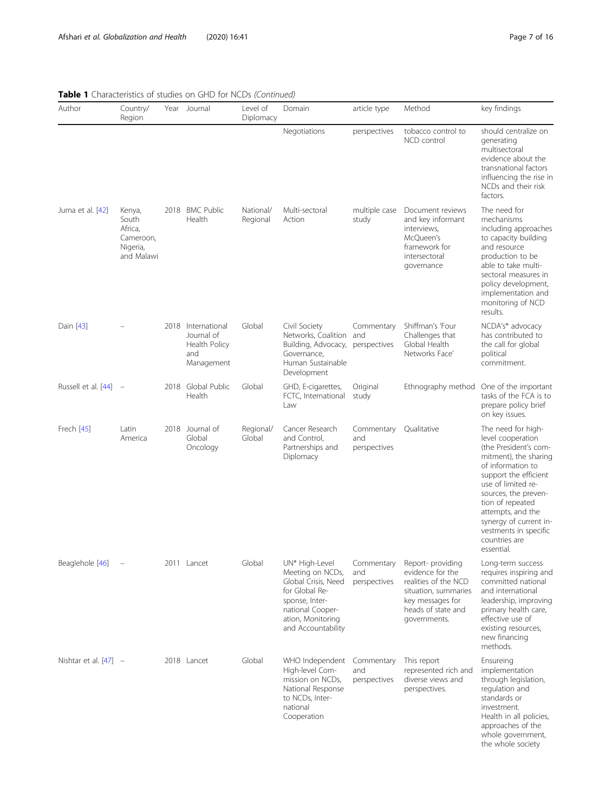| Author                  | Country/<br>Region                                                |      | Year Journal                                                           | Level of<br>Diplomacy | Domain                                                                                                                                                       | article type                      | Method                                                                                                                                         | key findings                                                                                                                                                                                                                                                                                                     |
|-------------------------|-------------------------------------------------------------------|------|------------------------------------------------------------------------|-----------------------|--------------------------------------------------------------------------------------------------------------------------------------------------------------|-----------------------------------|------------------------------------------------------------------------------------------------------------------------------------------------|------------------------------------------------------------------------------------------------------------------------------------------------------------------------------------------------------------------------------------------------------------------------------------------------------------------|
|                         |                                                                   |      |                                                                        |                       | Negotiations                                                                                                                                                 | perspectives                      | tobacco control to<br>NCD control                                                                                                              | should centralize on<br>generating<br>multisectoral<br>evidence about the<br>transnational factors<br>influencing the rise in<br>NCDs and their risk<br>factors.                                                                                                                                                 |
| Juma et al. [42]        | Kenya,<br>South<br>Africa,<br>Cameroon,<br>Nigeria,<br>and Malawi | 2018 | <b>BMC Public</b><br>Health                                            | National/<br>Regional | Multi-sectoral<br>Action                                                                                                                                     | multiple case<br>study            | Document reviews<br>and key informant<br>interviews,<br>McQueen's<br>framework for<br>intersectoral<br>governance                              | The need for<br>mechanisms<br>including approaches<br>to capacity building<br>and resource<br>production to be<br>able to take multi-<br>sectoral measures in<br>policy development,<br>implementation and<br>monitoring of NCD<br>results.                                                                      |
| Dain [43]               |                                                                   |      | 2018 International<br>Journal of<br>Health Policy<br>and<br>Management | Global                | Civil Society<br>Networks, Coalition<br>Building, Advocacy,<br>Governance.<br>Human Sustainable<br>Development                                               | Commentary<br>and<br>perspectives | Shiffman's 'Four<br>Challenges that<br>Global Health<br>Networks Face'                                                                         | NCDA's* advocacy<br>has contributed to<br>the call for global<br>political<br>commitment.                                                                                                                                                                                                                        |
| Russell et al. $[44]$ – |                                                                   |      | 2018 Global Public<br>Health                                           | Global                | GHD, E-cigarettes,<br>FCTC, International<br>Law                                                                                                             | Original<br>study                 | Ethnography method                                                                                                                             | One of the important<br>tasks of the FCA is to<br>prepare policy brief<br>on key issues.                                                                                                                                                                                                                         |
| Frech [45]              | Latin<br>America                                                  |      | 2018 Journal of<br>Global<br>Oncology                                  | Regional/<br>Global   | Cancer Research<br>and Control,<br>Partnerships and<br>Diplomacy                                                                                             | Commentary<br>and<br>perspectives | Qualitative                                                                                                                                    | The need for high-<br>level cooperation<br>(the President's com-<br>mitment), the sharing<br>of information to<br>support the efficient<br>use of limited re-<br>sources, the preven-<br>tion of repeated<br>attempts, and the<br>synergy of current in-<br>vestments in specific<br>countries are<br>essential. |
| Beaglehole [46]         |                                                                   |      | 2011 Lancet                                                            | Global                | UN* High-Level<br>Meeting on NCDs,<br>Global Crisis, Need<br>for Global Re-<br>sponse, Inter-<br>national Cooper-<br>ation, Monitoring<br>and Accountability | Commentary<br>and<br>perspectives | Report-providing<br>evidence for the<br>realities of the NCD<br>situation, summaries<br>key messages for<br>heads of state and<br>governments. | Long-term success<br>requires inspiring and<br>committed national<br>and international<br>leadership, improving<br>primary health care,<br>effective use of<br>existing resources,<br>new financing<br>methods.                                                                                                  |
| Nishtar et al. $[47] -$ |                                                                   |      | 2018 Lancet                                                            | Global                | WHO Independent<br>High-level Com-<br>mission on NCDs,<br>National Response<br>to NCDs, Inter-<br>national<br>Cooperation                                    | Commentary<br>and<br>perspectives | This report<br>represented rich and<br>diverse views and<br>perspectives.                                                                      | Ensureing<br>implementation<br>through legislation,<br>regulation and<br>standards or<br>investment.<br>Health in all policies,<br>approaches of the<br>whole government,<br>the whole society                                                                                                                   |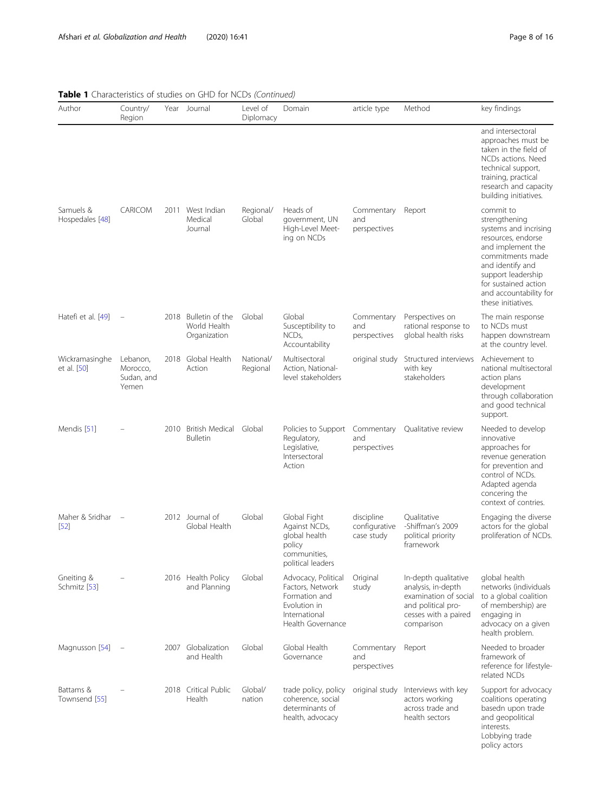| Author                        | Country/<br>Region                          | Year | Journal                                              | Level of<br>Diplomacy | Domain                                                                                                         | article type                              | Method                                                                                                                          | key findings                                                                                                                                                                                                                         |
|-------------------------------|---------------------------------------------|------|------------------------------------------------------|-----------------------|----------------------------------------------------------------------------------------------------------------|-------------------------------------------|---------------------------------------------------------------------------------------------------------------------------------|--------------------------------------------------------------------------------------------------------------------------------------------------------------------------------------------------------------------------------------|
|                               |                                             |      |                                                      |                       |                                                                                                                |                                           |                                                                                                                                 | and intersectoral<br>approaches must be<br>taken in the field of<br>NCDs actions. Need<br>technical support,<br>training, practical<br>research and capacity<br>building initiatives.                                                |
| Samuels &<br>Hospedales [48]  | CARICOM                                     | 2011 | West Indian<br>Medical<br>Journal                    | Regional/<br>Global   | Heads of<br>government, UN<br>High-Level Meet-<br>ing on NCDs                                                  | Commentary<br>and<br>perspectives         | Report                                                                                                                          | commit to<br>strengthening<br>systems and incrising<br>resources, endorse<br>and implement the<br>commitments made<br>and identify and<br>support leadership<br>for sustained action<br>and accountability for<br>these initiatives. |
| Hatefi et al. [49]            |                                             |      | 2018 Bulletin of the<br>World Health<br>Organization | Global                | Global<br>Susceptibility to<br>NCDs,<br>Accountability                                                         | Commentary<br>and<br>perspectives         | Perspectives on<br>rational response to<br>global health risks                                                                  | The main response<br>to NCDs must<br>happen downstream<br>at the country level.                                                                                                                                                      |
| Wickramasinghe<br>et al. [50] | Lebanon,<br>Morocco,<br>Sudan, and<br>Yemen |      | 2018 Global Health<br>Action                         | National/<br>Regional | Multisectoral<br>Action, National-<br>level stakeholders                                                       | original study                            | Structured interviews<br>with key<br>stakeholders                                                                               | Achievement to<br>national multisectoral<br>action plans<br>development<br>through collaboration<br>and good technical<br>support.                                                                                                   |
| Mendis [51]                   |                                             |      | 2010 British Medical<br><b>Bulletin</b>              | Global                | Policies to Support<br>Regulatory,<br>Legislative,<br>Intersectoral<br>Action                                  | Commentary<br>and<br>perspectives         | Qualitative review                                                                                                              | Needed to develop<br>innovative<br>approaches for<br>revenue generation<br>for prevention and<br>control of NCDs.<br>Adapted agenda<br>concering the<br>context of contries.                                                         |
| Maher & Sridhar<br>[52]       |                                             |      | 2012 Journal of<br>Global Health                     | Global                | Global Fight<br>Against NCDs,<br>global health<br>policy<br>communities,<br>political leaders                  | discipline<br>configurative<br>case study | Qualitative<br>-Shiffman's 2009<br>political priority<br>framework                                                              | Engaging the diverse<br>actors for the global<br>proliferation of NCDs.                                                                                                                                                              |
| Gneiting &<br>Schmitz [53]    |                                             |      | 2016 Health Policy<br>and Planning                   | Global                | Advocacy, Political<br>Factors, Network<br>Formation and<br>Evolution in<br>International<br>Health Governance | Original<br>study                         | In-depth qualitative<br>analysis, in-depth<br>examination of social<br>and political pro-<br>cesses with a paired<br>comparison | global health<br>networks (individuals<br>to a global coalition<br>of membership) are<br>engaging in<br>advocacy on a given<br>health problem.                                                                                       |
| Magnusson [54]                |                                             |      | 2007 Globalization<br>and Health                     | Global                | Global Health<br>Governance                                                                                    | Commentary<br>and<br>perspectives         | Report                                                                                                                          | Needed to broader<br>framework of<br>reference for lifestyle-<br>related NCDs                                                                                                                                                        |
| Battams &<br>Townsend [55]    |                                             |      | 2018 Critical Public<br>Health                       | Global/<br>nation     | trade policy, policy<br>coherence, social<br>determinants of<br>health, advocacy                               | original study                            | Interviews with key<br>actors working<br>across trade and<br>health sectors                                                     | Support for advocacy<br>coalitions operating<br>basedn upon trade<br>and geopolitical<br>interests.<br>Lobbying trade<br>policy actors                                                                                               |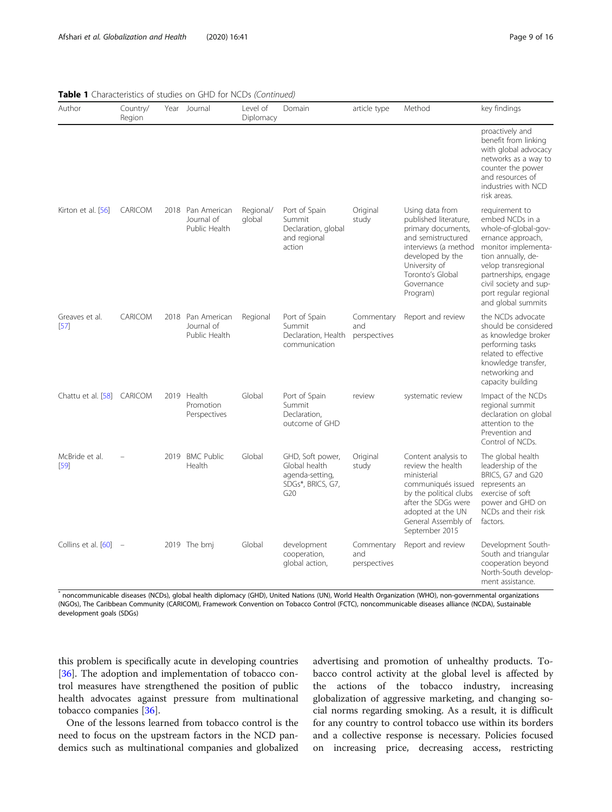| Author                     | Country/<br>Region | Year Journal                                     | Level of<br>Diplomacy | Domain                                                                                       | article type                      | Method                                                                                                                                                                                          | key findings                                                                                                                                                                                                                                        |
|----------------------------|--------------------|--------------------------------------------------|-----------------------|----------------------------------------------------------------------------------------------|-----------------------------------|-------------------------------------------------------------------------------------------------------------------------------------------------------------------------------------------------|-----------------------------------------------------------------------------------------------------------------------------------------------------------------------------------------------------------------------------------------------------|
|                            |                    |                                                  |                       |                                                                                              |                                   |                                                                                                                                                                                                 | proactively and<br>benefit from linking<br>with global advocacy<br>networks as a way to<br>counter the power<br>and resources of<br>industries with NCD<br>risk areas.                                                                              |
| Kirton et al. [56]         | CARICOM            | 2018 Pan American<br>Journal of<br>Public Health | Regional/<br>global   | Port of Spain<br>Summit<br>Declaration, global<br>and regional<br>action                     | Original<br>study                 | Using data from<br>published literature,<br>primary documents,<br>and semistructured<br>interviews (a method<br>developed by the<br>University of<br>Toronto's Global<br>Governance<br>Program) | requirement to<br>embed NCDs in a<br>whole-of-global-gov-<br>ernance approach,<br>monitor implementa-<br>tion annually, de-<br>velop transregional<br>partnerships, engage<br>civil society and sup-<br>port regular regional<br>and global summits |
| Greaves et al.<br>[57]     | CARICOM            | 2018 Pan American<br>Journal of<br>Public Health | Regional              | Port of Spain<br>Summit<br>Declaration, Health<br>communication                              | Commentary<br>and<br>perspectives | Report and review                                                                                                                                                                               | the NCDs advocate<br>should be considered<br>as knowledge broker<br>performing tasks<br>related to effective<br>knowledge transfer,<br>networking and<br>capacity building                                                                          |
| Chattu et al. [58] CARICOM |                    | 2019 Health<br>Promotion<br>Perspectives         | Global                | Port of Spain<br>Summit<br>Declaration,<br>outcome of GHD                                    | review                            | systematic review                                                                                                                                                                               | Impact of the NCDs<br>regional summit<br>declaration on global<br>attention to the<br>Prevention and<br>Control of NCDs.                                                                                                                            |
| McBride et al.<br>[59]     |                    | 2019 BMC Public<br>Health                        | Global                | GHD, Soft power,<br>Global health<br>agenda-setting,<br>SDGs*, BRICS, G7,<br>G <sub>20</sub> | Original<br>study                 | Content analysis to<br>review the health<br>ministerial<br>communiqués issued<br>by the political clubs<br>after the SDGs were<br>adopted at the UN<br>General Assembly of<br>September 2015    | The global health<br>leadership of the<br>BRICS, G7 and G20<br>represents an<br>exercise of soft<br>power and GHD on<br>NCDs and their risk<br>factors.                                                                                             |
| Collins et al. $[60]$ –    |                    | 2019 The bmj                                     | Global                | development<br>cooperation,<br>global action,                                                | Commentary<br>and<br>perspectives | Report and review                                                                                                                                                                               | Development South-<br>South and triangular<br>cooperation beyond<br>North-South develop-<br>ment assistance.                                                                                                                                        |

\* noncommunicable diseases (NCDs), global health diplomacy (GHD), United Nations (UN), World Health Organization (WHO), non-governmental organizations (NGOs), The Caribbean Community (CARICOM), Framework Convention on Tobacco Control (FCTC), noncommunicable diseases alliance (NCDA), Sustainable development goals (SDGs)

this problem is specifically acute in developing countries [[36\]](#page-14-0). The adoption and implementation of tobacco control measures have strengthened the position of public health advocates against pressure from multinational tobacco companies [[36\]](#page-14-0).

One of the lessons learned from tobacco control is the need to focus on the upstream factors in the NCD pandemics such as multinational companies and globalized advertising and promotion of unhealthy products. Tobacco control activity at the global level is affected by the actions of the tobacco industry, increasing globalization of aggressive marketing, and changing social norms regarding smoking. As a result, it is difficult for any country to control tobacco use within its borders and a collective response is necessary. Policies focused on increasing price, decreasing access, restricting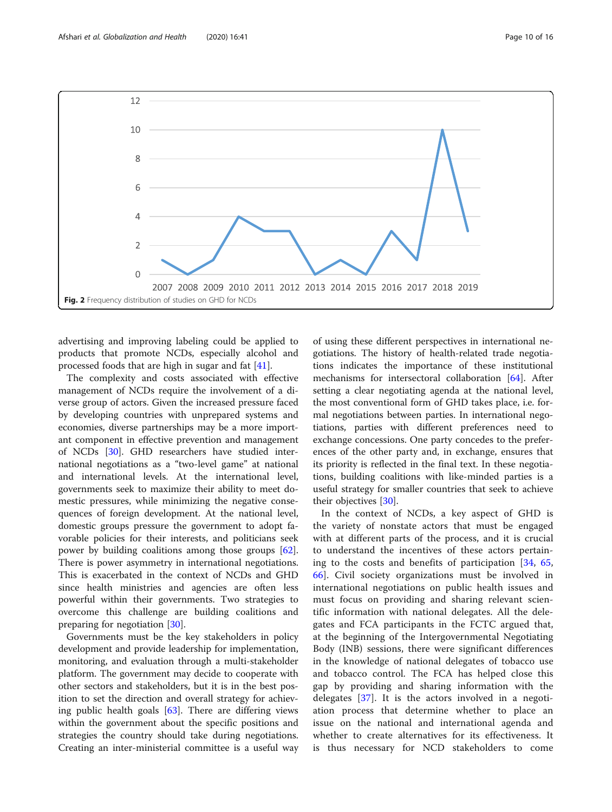<span id="page-9-0"></span>

advertising and improving labeling could be applied to products that promote NCDs, especially alcohol and processed foods that are high in sugar and fat [\[41\]](#page-15-0).

The complexity and costs associated with effective management of NCDs require the involvement of a diverse group of actors. Given the increased pressure faced by developing countries with unprepared systems and economies, diverse partnerships may be a more important component in effective prevention and management of NCDs [\[30](#page-14-0)]. GHD researchers have studied international negotiations as a "two-level game" at national and international levels. At the international level, governments seek to maximize their ability to meet domestic pressures, while minimizing the negative consequences of foreign development. At the national level, domestic groups pressure the government to adopt favorable policies for their interests, and politicians seek power by building coalitions among those groups [\[62](#page-15-0)]. There is power asymmetry in international negotiations. This is exacerbated in the context of NCDs and GHD since health ministries and agencies are often less powerful within their governments. Two strategies to overcome this challenge are building coalitions and preparing for negotiation [[30](#page-14-0)].

Governments must be the key stakeholders in policy development and provide leadership for implementation, monitoring, and evaluation through a multi-stakeholder platform. The government may decide to cooperate with other sectors and stakeholders, but it is in the best position to set the direction and overall strategy for achieving public health goals [[63\]](#page-15-0). There are differing views within the government about the specific positions and strategies the country should take during negotiations. Creating an inter-ministerial committee is a useful way

of using these different perspectives in international negotiations. The history of health-related trade negotiations indicates the importance of these institutional mechanisms for intersectoral collaboration [[64\]](#page-15-0). After setting a clear negotiating agenda at the national level, the most conventional form of GHD takes place, i.e. formal negotiations between parties. In international negotiations, parties with different preferences need to exchange concessions. One party concedes to the preferences of the other party and, in exchange, ensures that its priority is reflected in the final text. In these negotiations, building coalitions with like-minded parties is a useful strategy for smaller countries that seek to achieve their objectives [[30\]](#page-14-0).

In the context of NCDs, a key aspect of GHD is the variety of nonstate actors that must be engaged with at different parts of the process, and it is crucial to understand the incentives of these actors pertaining to the costs and benefits of participation [\[34,](#page-14-0) [65](#page-15-0), [66\]](#page-15-0). Civil society organizations must be involved in international negotiations on public health issues and must focus on providing and sharing relevant scientific information with national delegates. All the delegates and FCA participants in the FCTC argued that, at the beginning of the Intergovernmental Negotiating Body (INB) sessions, there were significant differences in the knowledge of national delegates of tobacco use and tobacco control. The FCA has helped close this gap by providing and sharing information with the delegates [\[37](#page-14-0)]. It is the actors involved in a negotiation process that determine whether to place an issue on the national and international agenda and whether to create alternatives for its effectiveness. It is thus necessary for NCD stakeholders to come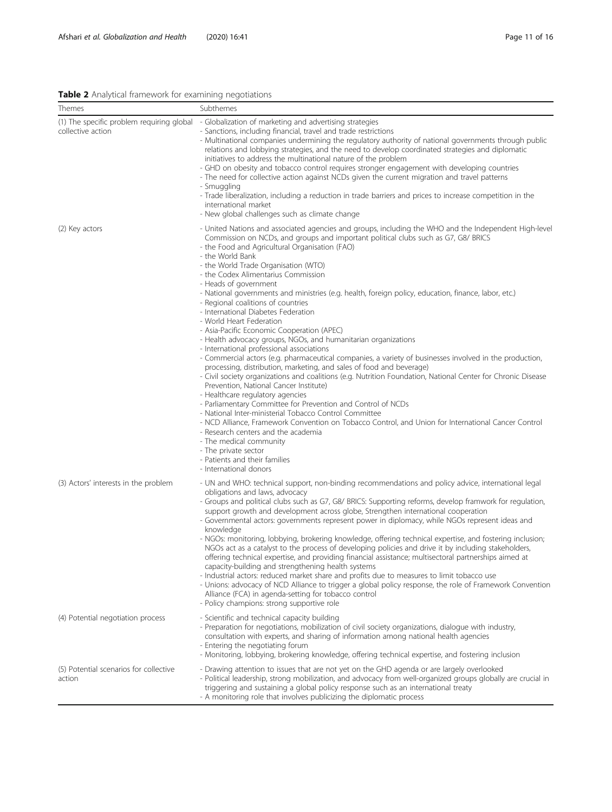## <span id="page-10-0"></span>Table 2 Analytical framework for examining negotiations

| Themes                                           | Subthemes                                                                                                                                                                                                                                                                                                                                                                                                                                                                                                                                                                                                                                                                                                                                                                                                                                                                                                                                                                                                                                                                                                                                                                                                                                                                                                                                                                                                                                                                                                                      |
|--------------------------------------------------|--------------------------------------------------------------------------------------------------------------------------------------------------------------------------------------------------------------------------------------------------------------------------------------------------------------------------------------------------------------------------------------------------------------------------------------------------------------------------------------------------------------------------------------------------------------------------------------------------------------------------------------------------------------------------------------------------------------------------------------------------------------------------------------------------------------------------------------------------------------------------------------------------------------------------------------------------------------------------------------------------------------------------------------------------------------------------------------------------------------------------------------------------------------------------------------------------------------------------------------------------------------------------------------------------------------------------------------------------------------------------------------------------------------------------------------------------------------------------------------------------------------------------------|
| collective action                                | (1) The specific problem requiring global - Globalization of marketing and advertising strategies<br>- Sanctions, including financial, travel and trade restrictions<br>- Multinational companies undermining the regulatory authority of national governments through public<br>relations and lobbying strategies, and the need to develop coordinated strategies and diplomatic<br>initiatives to address the multinational nature of the problem<br>- GHD on obesity and tobacco control requires stronger engagement with developing countries<br>- The need for collective action against NCDs given the current migration and travel patterns<br>- Smuggling<br>- Trade liberalization, including a reduction in trade barriers and prices to increase competition in the<br>international market<br>- New global challenges such as climate change                                                                                                                                                                                                                                                                                                                                                                                                                                                                                                                                                                                                                                                                      |
| (2) Key actors                                   | - United Nations and associated agencies and groups, including the WHO and the Independent High-level<br>Commission on NCDs, and groups and important political clubs such as G7, G8/ BRICS<br>- the Food and Agricultural Organisation (FAO)<br>- the World Bank<br>- the World Trade Organisation (WTO)<br>- the Codex Alimentarius Commission<br>- Heads of government<br>- National governments and ministries (e.g. health, foreign policy, education, finance, labor, etc.)<br>- Regional coalitions of countries<br>- International Diabetes Federation<br>- World Heart Federation<br>- Asia-Pacific Economic Cooperation (APEC)<br>- Health advocacy groups, NGOs, and humanitarian organizations<br>- International professional associations<br>- Commercial actors (e.g. pharmaceutical companies, a variety of businesses involved in the production,<br>processing, distribution, marketing, and sales of food and beverage)<br>- Civil society organizations and coalitions (e.g. Nutrition Foundation, National Center for Chronic Disease<br>Prevention, National Cancer Institute)<br>- Healthcare regulatory agencies<br>- Parliamentary Committee for Prevention and Control of NCDs<br>- National Inter-ministerial Tobacco Control Committee<br>- NCD Alliance, Framework Convention on Tobacco Control, and Union for International Cancer Control<br>- Research centers and the academia<br>- The medical community<br>- The private sector<br>- Patients and their families<br>- International donors |
| (3) Actors' interests in the problem             | - UN and WHO: technical support, non-binding recommendations and policy advice, international legal<br>obligations and laws, advocacy<br>- Groups and political clubs such as G7, G8/ BRICS: Supporting reforms, develop framwork for regulation,<br>support growth and development across globe, Strengthen international cooperation<br>- Governmental actors: governments represent power in diplomacy, while NGOs represent ideas and<br>knowledge<br>- NGOs: monitoring, lobbying, brokering knowledge, offering technical expertise, and fostering inclusion;<br>NGOs act as a catalyst to the process of developing policies and drive it by including stakeholders,<br>offering technical expertise, and providing financial assistance; multisectoral partnerships aimed at<br>capacity-building and strengthening health systems<br>- Industrial actors: reduced market share and profits due to measures to limit tobacco use<br>- Unions: advocacy of NCD Alliance to trigger a global policy response, the role of Framework Convention<br>Alliance (FCA) in agenda-setting for tobacco control<br>- Policy champions: strong supportive role                                                                                                                                                                                                                                                                                                                                                                     |
| (4) Potential negotiation process                | - Scientific and technical capacity building<br>- Preparation for negotiations, mobilization of civil society organizations, dialogue with industry,<br>consultation with experts, and sharing of information among national health agencies<br>- Entering the negotiating forum<br>- Monitoring, lobbying, brokering knowledge, offering technical expertise, and fostering inclusion                                                                                                                                                                                                                                                                                                                                                                                                                                                                                                                                                                                                                                                                                                                                                                                                                                                                                                                                                                                                                                                                                                                                         |
| (5) Potential scenarios for collective<br>action | - Drawing attention to issues that are not yet on the GHD agenda or are largely overlooked<br>- Political leadership, strong mobilization, and advocacy from well-organized groups globally are crucial in<br>triggering and sustaining a global policy response such as an international treaty<br>- A monitoring role that involves publicizing the diplomatic process                                                                                                                                                                                                                                                                                                                                                                                                                                                                                                                                                                                                                                                                                                                                                                                                                                                                                                                                                                                                                                                                                                                                                       |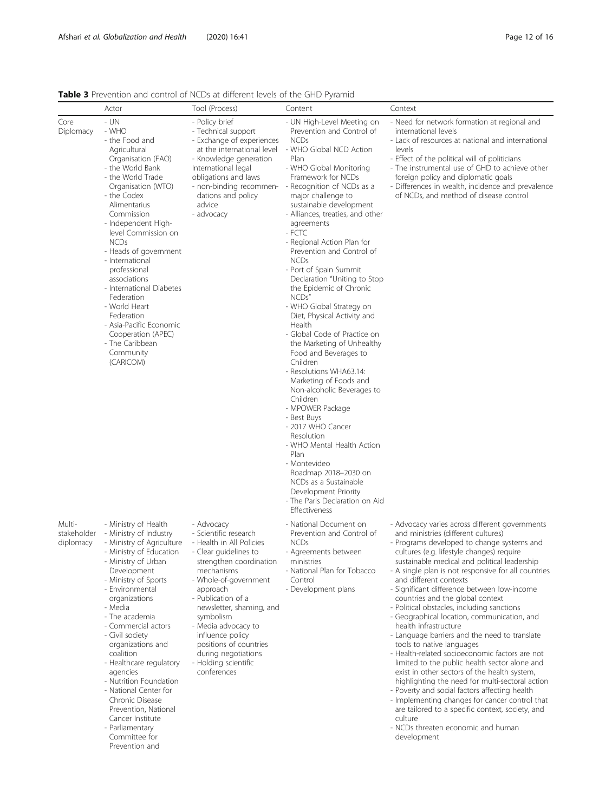<span id="page-11-0"></span>

| <b>Table 3</b> Prevention and control of NCDs at different levels of the GHD Pyramid |  |
|--------------------------------------------------------------------------------------|--|
|--------------------------------------------------------------------------------------|--|

|                                    | Actor                                                                                                                                                                                                                                                                                                                                                                                                                                                                                                                            | Tool (Process)                                                                                                                                                                                                                                                                                                                                                           | Content                                                                                                                                                                                                                                                                                                                                                                                                                                                                                                                                                                                                                                                                                                                                                                                                                                                                                                                                                                                                                              | Context                                                                                                                                                                                                                                                                                                                                                                                                                                                                                                                                                                                                                                                                                                                                                                                                                                                                                                                                                                                                                               |
|------------------------------------|----------------------------------------------------------------------------------------------------------------------------------------------------------------------------------------------------------------------------------------------------------------------------------------------------------------------------------------------------------------------------------------------------------------------------------------------------------------------------------------------------------------------------------|--------------------------------------------------------------------------------------------------------------------------------------------------------------------------------------------------------------------------------------------------------------------------------------------------------------------------------------------------------------------------|--------------------------------------------------------------------------------------------------------------------------------------------------------------------------------------------------------------------------------------------------------------------------------------------------------------------------------------------------------------------------------------------------------------------------------------------------------------------------------------------------------------------------------------------------------------------------------------------------------------------------------------------------------------------------------------------------------------------------------------------------------------------------------------------------------------------------------------------------------------------------------------------------------------------------------------------------------------------------------------------------------------------------------------|---------------------------------------------------------------------------------------------------------------------------------------------------------------------------------------------------------------------------------------------------------------------------------------------------------------------------------------------------------------------------------------------------------------------------------------------------------------------------------------------------------------------------------------------------------------------------------------------------------------------------------------------------------------------------------------------------------------------------------------------------------------------------------------------------------------------------------------------------------------------------------------------------------------------------------------------------------------------------------------------------------------------------------------|
| Core<br>Diplomacy                  | $- UN$<br>$-WHO$<br>- the Food and<br>Agricultural<br>Organisation (FAO)<br>- the World Bank<br>- the World Trade<br>Organisation (WTO)<br>- the Codex<br>Alimentarius<br>Commission<br>- Independent High-<br>level Commission on<br><b>NCDs</b><br>- Heads of government<br>- International<br>professional<br>associations<br>- International Diabetes<br>Federation<br>- World Heart<br>Federation<br>- Asia-Pacific Economic<br>Cooperation (APEC)<br>- The Caribbean<br>Community<br>(CARICOM)                             | - Policy brief<br>- Technical support<br>- Exchange of experiences<br>at the international level<br>- Knowledge generation<br>International legal<br>obligations and laws<br>dations and policy<br>advice<br>- advocacy                                                                                                                                                  | - UN High-Level Meeting on<br>Prevention and Control of<br><b>NCDs</b><br>- WHO Global NCD Action<br>Plan<br>- WHO Global Monitoring<br>Framework for NCDs<br>- non-binding recommen- - Recognition of NCDs as a<br>major challenge to<br>sustainable development<br>- Alliances, treaties, and other<br>agreements<br>- FCTC<br>- Regional Action Plan for<br>Prevention and Control of<br><b>NCDs</b><br>- Port of Spain Summit<br>Declaration "Uniting to Stop<br>the Epidemic of Chronic<br>NCDs"<br>- WHO Global Strategy on<br>Diet, Physical Activity and<br>Health<br>- Global Code of Practice on<br>the Marketing of Unhealthy<br>Food and Beverages to<br>Children<br>- Resolutions WHA63.14:<br>Marketing of Foods and<br>Non-alcoholic Beverages to<br>Children<br>- MPOWER Package<br>- Best Buys<br>- 2017 WHO Cancer<br>Resolution<br>- WHO Mental Health Action<br>Plan<br>- Montevideo<br>Roadmap 2018-2030 on<br>NCDs as a Sustainable<br>Development Priority<br>- The Paris Declaration on Aid<br>Effectiveness | - Need for network formation at regional and<br>international levels<br>- Lack of resources at national and international<br>levels<br>- Effect of the political will of politicians<br>- The instrumental use of GHD to achieve other<br>foreign policy and diplomatic goals<br>- Differences in wealth, incidence and prevalence<br>of NCDs, and method of disease control                                                                                                                                                                                                                                                                                                                                                                                                                                                                                                                                                                                                                                                          |
| Multi-<br>stakeholder<br>diplomacy | - Ministry of Health<br>- Ministry of Industry<br>- Ministry of Agriculture<br>- Ministry of Education<br>- Ministry of Urban<br>Development<br>- Ministry of Sports<br>- Environmental<br>organizations<br>- Media<br>- The academia<br>- Commercial actors<br>- Civil society<br>organizations and<br>coalition<br>- Healthcare regulatory<br>agencies<br>- Nutrition Foundation<br>- National Center for<br>Chronic Disease<br>Prevention, National<br>Cancer Institute<br>- Parliamentary<br>Committee for<br>Prevention and | - Advocacy<br>- Scientific research<br>- Health in All Policies<br>- Clear guidelines to<br>strengthen coordination<br>mechanisms<br>- Whole-of-government<br>approach<br>- Publication of a<br>newsletter, shaming, and<br>symbolism<br>- Media advocacy to<br>influence policy<br>positions of countries<br>during negotiations<br>- Holding scientific<br>conferences | - National Document on<br>Prevention and Control of<br><b>NCDs</b><br>- Agreements between<br>ministries<br>- National Plan for Tobacco<br>Control<br>- Development plans                                                                                                                                                                                                                                                                                                                                                                                                                                                                                                                                                                                                                                                                                                                                                                                                                                                            | - Advocacy varies across different governments<br>and ministries (different cultures)<br>- Programs developed to change systems and<br>cultures (e.g. lifestyle changes) require<br>sustainable medical and political leadership<br>- A single plan is not responsive for all countries<br>and different contexts<br>- Significant difference between low-income<br>countries and the global context<br>- Political obstacles, including sanctions<br>- Geographical location, communication, and<br>health infrastructure<br>- Language barriers and the need to translate<br>tools to native languages<br>- Health-related socioeconomic factors are not<br>limited to the public health sector alone and<br>exist in other sectors of the health system,<br>highlighting the need for multi-sectoral action<br>- Poverty and social factors affecting health<br>- Implementing changes for cancer control that<br>are tailored to a specific context, society, and<br>culture<br>- NCDs threaten economic and human<br>development |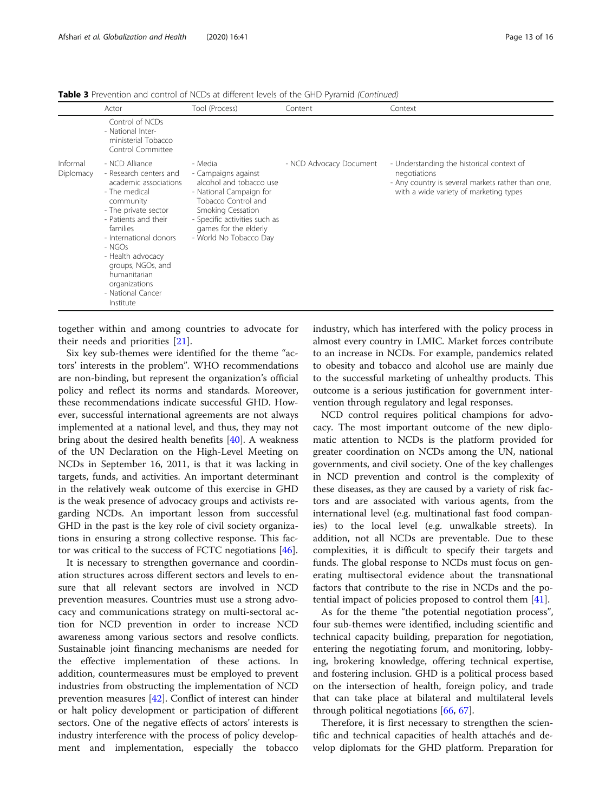|                       | Actor                                                                                                                                                                                                                                                                                                        | Tool (Process)                                                                                                                                                                                                       | Content                 | Context                                                                                                                                                  |
|-----------------------|--------------------------------------------------------------------------------------------------------------------------------------------------------------------------------------------------------------------------------------------------------------------------------------------------------------|----------------------------------------------------------------------------------------------------------------------------------------------------------------------------------------------------------------------|-------------------------|----------------------------------------------------------------------------------------------------------------------------------------------------------|
|                       | Control of NCDs<br>- National Inter-<br>ministerial Tobacco<br>Control Committee                                                                                                                                                                                                                             |                                                                                                                                                                                                                      |                         |                                                                                                                                                          |
| Informal<br>Diplomacy | - NCD Alliance<br>- Research centers and<br>academic associations<br>- The medical<br>community<br>- The private sector<br>- Patients and their<br>families<br>- International donors<br>- NGOs<br>- Health advocacy<br>groups, NGOs, and<br>humanitarian<br>organizations<br>- National Cancer<br>Institute | - Media<br>- Campaigns against<br>alcohol and tobacco use<br>- National Campaign for<br>Tobacco Control and<br>Smoking Cessation<br>- Specific activities such as<br>games for the elderly<br>- World No Tobacco Day | - NCD Advocacy Document | - Understanding the historical context of<br>negotiations<br>- Any country is several markets rather than one,<br>with a wide variety of marketing types |

**Table 3** Prevention and control of NCDs at different levels of the GHD Pyramid (Continued)

together within and among countries to advocate for their needs and priorities [[21\]](#page-14-0).

Six key sub-themes were identified for the theme "actors' interests in the problem". WHO recommendations are non-binding, but represent the organization's official policy and reflect its norms and standards. Moreover, these recommendations indicate successful GHD. However, successful international agreements are not always implemented at a national level, and thus, they may not bring about the desired health benefits [[40\]](#page-14-0). A weakness of the UN Declaration on the High-Level Meeting on NCDs in September 16, 2011, is that it was lacking in targets, funds, and activities. An important determinant in the relatively weak outcome of this exercise in GHD is the weak presence of advocacy groups and activists regarding NCDs. An important lesson from successful GHD in the past is the key role of civil society organizations in ensuring a strong collective response. This factor was critical to the success of FCTC negotiations [[46\]](#page-15-0).

It is necessary to strengthen governance and coordination structures across different sectors and levels to ensure that all relevant sectors are involved in NCD prevention measures. Countries must use a strong advocacy and communications strategy on multi-sectoral action for NCD prevention in order to increase NCD awareness among various sectors and resolve conflicts. Sustainable joint financing mechanisms are needed for the effective implementation of these actions. In addition, countermeasures must be employed to prevent industries from obstructing the implementation of NCD prevention measures [[42\]](#page-15-0). Conflict of interest can hinder or halt policy development or participation of different sectors. One of the negative effects of actors' interests is industry interference with the process of policy development and implementation, especially the tobacco industry, which has interfered with the policy process in almost every country in LMIC. Market forces contribute to an increase in NCDs. For example, pandemics related to obesity and tobacco and alcohol use are mainly due to the successful marketing of unhealthy products. This outcome is a serious justification for government intervention through regulatory and legal responses.

NCD control requires political champions for advocacy. The most important outcome of the new diplomatic attention to NCDs is the platform provided for greater coordination on NCDs among the UN, national governments, and civil society. One of the key challenges in NCD prevention and control is the complexity of these diseases, as they are caused by a variety of risk factors and are associated with various agents, from the international level (e.g. multinational fast food companies) to the local level (e.g. unwalkable streets). In addition, not all NCDs are preventable. Due to these complexities, it is difficult to specify their targets and funds. The global response to NCDs must focus on generating multisectoral evidence about the transnational factors that contribute to the rise in NCDs and the potential impact of policies proposed to control them [\[41\]](#page-15-0).

As for the theme "the potential negotiation process", four sub-themes were identified, including scientific and technical capacity building, preparation for negotiation, entering the negotiating forum, and monitoring, lobbying, brokering knowledge, offering technical expertise, and fostering inclusion. GHD is a political process based on the intersection of health, foreign policy, and trade that can take place at bilateral and multilateral levels through political negotiations [[66](#page-15-0), [67](#page-15-0)].

Therefore, it is first necessary to strengthen the scientific and technical capacities of health attachés and develop diplomats for the GHD platform. Preparation for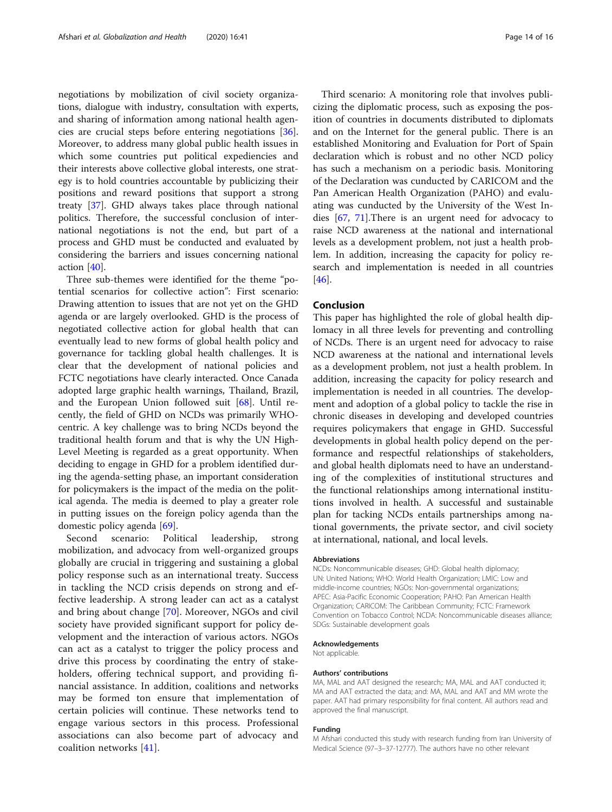negotiations by mobilization of civil society organizations, dialogue with industry, consultation with experts, and sharing of information among national health agencies are crucial steps before entering negotiations [\[36](#page-14-0)]. Moreover, to address many global public health issues in which some countries put political expediencies and their interests above collective global interests, one strategy is to hold countries accountable by publicizing their positions and reward positions that support a strong treaty [\[37](#page-14-0)]. GHD always takes place through national politics. Therefore, the successful conclusion of international negotiations is not the end, but part of a process and GHD must be conducted and evaluated by considering the barriers and issues concerning national action [[40\]](#page-14-0).

Three sub-themes were identified for the theme "potential scenarios for collective action": First scenario: Drawing attention to issues that are not yet on the GHD agenda or are largely overlooked. GHD is the process of negotiated collective action for global health that can eventually lead to new forms of global health policy and governance for tackling global health challenges. It is clear that the development of national policies and FCTC negotiations have clearly interacted. Once Canada adopted large graphic health warnings, Thailand, Brazil, and the European Union followed suit [[68](#page-15-0)]. Until recently, the field of GHD on NCDs was primarily WHOcentric. A key challenge was to bring NCDs beyond the traditional health forum and that is why the UN High-Level Meeting is regarded as a great opportunity. When deciding to engage in GHD for a problem identified during the agenda-setting phase, an important consideration for policymakers is the impact of the media on the political agenda. The media is deemed to play a greater role in putting issues on the foreign policy agenda than the domestic policy agenda [\[69](#page-15-0)].

Second scenario: Political leadership, strong mobilization, and advocacy from well-organized groups globally are crucial in triggering and sustaining a global policy response such as an international treaty. Success in tackling the NCD crisis depends on strong and effective leadership. A strong leader can act as a catalyst and bring about change [[70\]](#page-15-0). Moreover, NGOs and civil society have provided significant support for policy development and the interaction of various actors. NGOs can act as a catalyst to trigger the policy process and drive this process by coordinating the entry of stakeholders, offering technical support, and providing financial assistance. In addition, coalitions and networks may be formed ton ensure that implementation of certain policies will continue. These networks tend to engage various sectors in this process. Professional associations can also become part of advocacy and coalition networks [[41\]](#page-15-0).

Third scenario: A monitoring role that involves publicizing the diplomatic process, such as exposing the position of countries in documents distributed to diplomats and on the Internet for the general public. There is an established Monitoring and Evaluation for Port of Spain declaration which is robust and no other NCD policy has such a mechanism on a periodic basis. Monitoring of the Declaration was cunducted by CARICOM and the Pan American Health Organization (PAHO) and evaluating was cunducted by the University of the West Indies [[67,](#page-15-0) [71](#page-15-0)].There is an urgent need for advocacy to raise NCD awareness at the national and international levels as a development problem, not just a health problem. In addition, increasing the capacity for policy research and implementation is needed in all countries [[46\]](#page-15-0).

#### Conclusion

This paper has highlighted the role of global health diplomacy in all three levels for preventing and controlling of NCDs. There is an urgent need for advocacy to raise NCD awareness at the national and international levels as a development problem, not just a health problem. In addition, increasing the capacity for policy research and implementation is needed in all countries. The development and adoption of a global policy to tackle the rise in chronic diseases in developing and developed countries requires policymakers that engage in GHD. Successful developments in global health policy depend on the performance and respectful relationships of stakeholders, and global health diplomats need to have an understanding of the complexities of institutional structures and the functional relationships among international institutions involved in health. A successful and sustainable plan for tacking NCDs entails partnerships among national governments, the private sector, and civil society at international, national, and local levels.

#### Abbreviations

NCDs: Noncommunicable diseases; GHD: Global health diplomacy; UN: United Nations; WHO: World Health Organization; LMIC: Low and middle-income countries; NGOs: Non-governmental organizations; APEC: Asia-Pacific Economic Cooperation; PAHO: Pan American Health Organization; CARICOM: The Caribbean Community; FCTC: Framework Convention on Tobacco Control; NCDA: Noncommunicable diseases alliance; SDGs: Sustainable development goals

#### Acknowledgements

Not applicable.

#### Authors' contributions

MA, MAL and AAT designed the research;: MA, MAL and AAT conducted it; MA and AAT extracted the data; and: MA, MAL and AAT and MM wrote the paper. AAT had primary responsibility for final content. All authors read and approved the final manuscript.

#### Funding

M Afshari conducted this study with research funding from Iran University of Medical Science (97–3–37-12777). The authors have no other relevant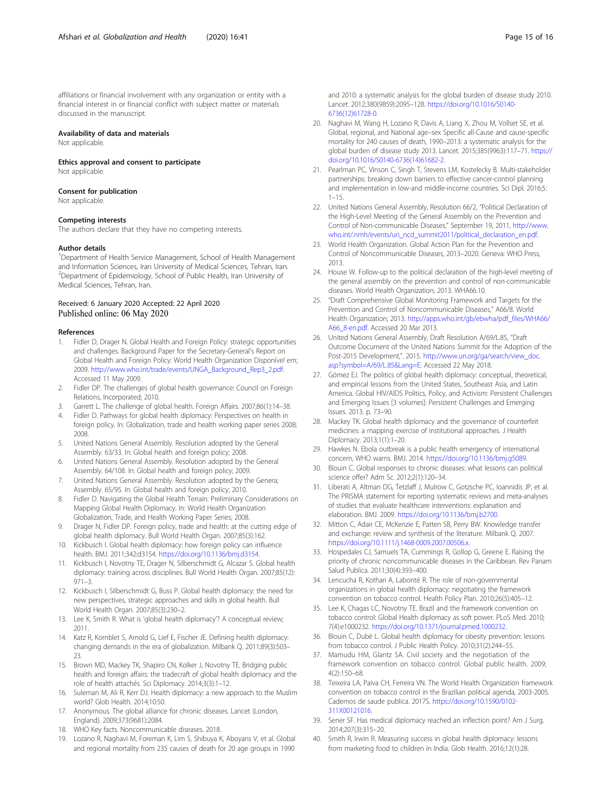<span id="page-14-0"></span>affiliations or financial involvement with any organization or entity with a financial interest in or financial conflict with subject matter or materials discussed in the manuscript.

#### Availability of data and materials

Not applicable.

#### Ethics approval and consent to participate

Not applicable.

#### Consent for publication

Not applicable.

#### Competing interests

The authors declare that they have no competing interests.

#### Author details

<sup>1</sup>Department of Health Service Management, School of Health Management and Information Sciences, Iran University of Medical Sciences, Tehran, Iran. <sup>2</sup>Department of Epidemiology, School of Public Health, Iran University of Medical Sciences, Tehran, Iran.

#### Received: 6 January 2020 Accepted: 22 April 2020 Published online: 06 May 2020

#### References

- 1. Fidler D, Drager N. Global Health and Foreign Policy: strategic opportunities and challenges. Background Paper for the Secretary-General's Report on Global Health and Foreign Policy: World Health Organization Disponível em; 2009. [http://www.who.int/trade/events/UNGA\\_Background\\_Rep3\\_2.pdf.](http://www.who.int/trade/events/UNGA_Background_Rep3_2.pdf) Accessed 11 May 2009.
- 2. Fidler DP. The challenges of global health governance: Council on Foreign Relations, Incorporated; 2010.
- 3. Garrett L. The challenge of global health. Foreign Affairs. 2007;86(1):14–38.
- 4. Fidler D. Pathways for global health diplomacy: Perspectives on health in foreign policy. In: Globalization, trade and health working paper series 2008; 2008.
- 5. United Nations General Assembly. Resolution adopted by the General Assembly. 63/33. In: Global health and foreign policy; 2008.
- 6. United Nations General Assembly. Resolution adopted by the General Assembly. 64/108. In: Global health and foreign policy; 2009.
- 7. United Nations General Assembly. Resolution adopted by the Genera; Assembly. 65/95. In: Global health and foreign policy; 2010.
- 8. Fidler D. Navigating the Global Health Terrain: Preliminary Considerations on Mapping Global Health Diplomacy. In: World Health Organization Globalization, Trade, and Health Working Paper Series; 2008.
- 9. Drager N, Fidler DP. Foreign policy, trade and health: at the cutting edge of global health diplomacy. Bull World Health Organ. 2007;85(3):162.
- 10. Kickbusch I. Global health diplomacy: how foreign policy can influence health. BMJ. 2011;342:d3154. [https://doi.org/10.1136/bmj.d3154.](https://doi.org/10.1136/bmj.d3154)
- 11. Kickbusch I, Novotny TE, Drager N, Silberschmidt G, Alcazar S. Global health diplomacy: training across disciplines. Bull World Health Organ. 2007;85(12): 971–3.
- 12. Kickbusch I, Silberschmidt G, Buss P. Global health diplomacy: the need for new perspectives, strategic approaches and skills in global health. Bull World Health Organ. 2007;85(3):230–2.
- 13. Lee K, Smith R. What is 'global health diplomacy'? A conceptual review; 2011.
- 14. Katz R, Kornblet S, Arnold G, Lief E, Fischer JE. Defining health diplomacy: changing demands in the era of globalization. Milbank Q. 2011;89(3):503– 23.
- 15. Brown MD, Mackey TK, Shapiro CN, Kolker J, Novotny TE. Bridging public health and foreign affairs: the tradecraft of global health diplomacy and the role of health attachés. Sci Diplomacy. 2014;3(3):1–12.
- 16. Suleman M, Ali R, Kerr DJ. Health diplomacy: a new approach to the Muslim world? Glob Health. 2014;10:50.
- 17. Anonymous. The global alliance for chronic diseases. Lancet (London, England). 2009;373(9681):2084.
- 18. WHO Key facts. Noncommunicable diseases. 2018.
- 19. Lozano R, Naghavi M, Foreman K, Lim S, Shibuya K, Aboyans V, et al. Global and regional mortality from 235 causes of death for 20 age groups in 1990

and 2010: a systematic analysis for the global burden of disease study 2010. Lancet. 2012;380(9859):2095–128. [https://doi.org/10.1016/S0140-](https://doi.org/10.1016/S0140-6736(12)61728-0) [6736\(12\)61728-0](https://doi.org/10.1016/S0140-6736(12)61728-0).

- 20. Naghavi M, Wang H, Lozano R, Davis A, Liang X, Zhou M, Vollset SE, et al. Global, regional, and National age–sex Specific all-Cause and cause-specific mortality for 240 causes of death, 1990–2013: a systematic analysis for the global burden of disease study 2013. Lancet. 2015;385(9963):117–71. [https://](https://doi.org/10.1016/S0140-6736(14)61682-2) [doi.org/10.1016/S0140-6736\(14\)61682-2](https://doi.org/10.1016/S0140-6736(14)61682-2).
- 21. Pearlman PC, Vinson C, Singh T, Stevens LM, Kostelecky B. Multi-stakeholder partnerships: breaking down barriers to effective cancer-control planning and implementation in low-and middle-income countries. Sci Dipl. 2016;5:  $1 - 15$ .
- 22. United Nations General Assembly, Resolution 66/2, "Political Declaration of the High-Level Meeting of the General Assembly on the Prevention and Control of Non-communicable Diseases," September 19, 2011, [http://www.](http://www.who.int/.nmh/events/un_ncd_summit2011/political_declaration_en.pdf) [who.int/.nmh/events/un\\_ncd\\_summit2011/political\\_declaration\\_en.pdf](http://www.who.int/.nmh/events/un_ncd_summit2011/political_declaration_en.pdf).
- 23. World Health Organization. Global Action Plan for the Prevention and Control of Noncommunicable Diseases, 2013–2020. Geneva: WHO Press, 2013.
- 24. House W. Follow-up to the political declaration of the high-level meeting of the general assembly on the prevention and control of non-communicable diseases. World Health Organization; 2013. WHA66.10.
- 25. "Draft Comprehensive Global Monitoring Framework and Targets for the Prevention and Control of Noncommunicable Diseases," A66/8. World Health Organization; 2013. [http://apps.who.int/gb/ebwha/pdf\\_files/WHA66/](http://apps.who.int/gb/ebwha/pdf_files/WHA66/A66_8-en.pdf) [A66\\_8-en.pdf.](http://apps.who.int/gb/ebwha/pdf_files/WHA66/A66_8-en.pdf) Accessed 20 Mar 2013.
- 26. United Nations General Assembly, Draft Resolution A/69/L.85, "Draft Outcome Document of the United Nations Summit for the Adoption of the Post-2015 Development,". 2015. [http://www.un.org/ga/search/view\\_doc.](http://www.un.org/ga/search/view_doc.asp?symbol=A/69/L.85&Lang=E) [asp?symbol=A/69/L.85&Lang=E](http://www.un.org/ga/search/view_doc.asp?symbol=A/69/L.85&Lang=E). Accessed 22 May 2018.
- 27. Gómez EJ. The politics of global health diplomacy: conceptual, theoretical, and empirical lessons from the United States, Southeast Asia, and Latin America. Global HIV/AIDS Politics, Policy, and Activism: Persistent Challenges and Emerging Issues [3 volumes]: Persistent Challenges and Emerging Issues. 2013. p. 73–90.
- 28. Mackey TK. Global health diplomacy and the governance of counterfeit medicines: a mapping exercise of institutional approaches. J Health Diplomacy. 2013;1(1):1–20.
- 29. Hawkes N. Ebola outbreak is a public health emergency of international concern, WHO warns. BMJ. 2014. <https://doi.org/10.1136/bmj.g5089>.
- 30. Blouin C. Global responses to chronic diseases: what lessons can political science offer? Adm Sc. 2012;2(1):120–34.
- 31. Liberati A, Altman DG, Tetzlaff J, Mulrow C, Gotzsche PC, Ioannidis JP, et al. The PRISMA statement for reporting systematic reviews and meta-analyses of studies that evaluate healthcare interventions: explanation and elaboration. BMJ. 2009. <https://doi.org/10.1136/bmj.b2700>.
- 32. Mitton C, Adair CE, McKenzie E, Patten SB, Perry BW. Knowledge transfer and exchange: review and synthesis of the literature. Milbank Q. 2007. <https://doi.org/10.1111/j.1468-0009.2007.00506.x>.
- 33. Hospedales CJ, Samuels TA, Cummings R, Gollop G, Greene E. Raising the priority of chronic noncommunicable diseases in the Caribbean. Rev Panam Salud Publica. 2011;30(4):393–400.
- 34. Lencucha R, Kothari A, Labonté R. The role of non-governmental organizations in global health diplomacy: negotiating the framework convention on tobacco control. Health Policy Plan. 2010;26(5):405–12.
- 35. Lee K, Chagas LC, Novotny TE. Brazil and the framework convention on tobacco control: Global Health diplomacy as soft power. PLoS Med. 2010; 7(4):e1000232. [https://doi.org/10.1371/journal.pmed.1000232.](https://doi.org/10.1371/journal.pmed.1000232)
- 36. Blouin C, Dubé L. Global health diplomacy for obesity prevention: lessons from tobacco control. J Public Health Policy. 2010;31(2):244–55.
- 37. Mamudu HM, Glantz SA. Civil society and the negotiation of the framework convention on tobacco control. Global public health. 2009; 4(2):150–68.
- 38. Teixeira LA, Paiva CH, Ferreira VN. The World Health Organization framework convention on tobacco control in the Brazilian political agenda, 2003-2005. Cadernos de saude publica. 2017S. [https://doi.org/10.1590/0102-](https://doi.org/10.1590/0102-311X00121016) [311X00121016](https://doi.org/10.1590/0102-311X00121016).
- 39. Sener SF. Has medical diplomacy reached an inflection point? Am J Surg. 2014;207(3):315–20.
- 40. Smith R, Irwin R. Measuring success in global health diplomacy: lessons from marketing food to children in India. Glob Health. 2016;12(1):28.